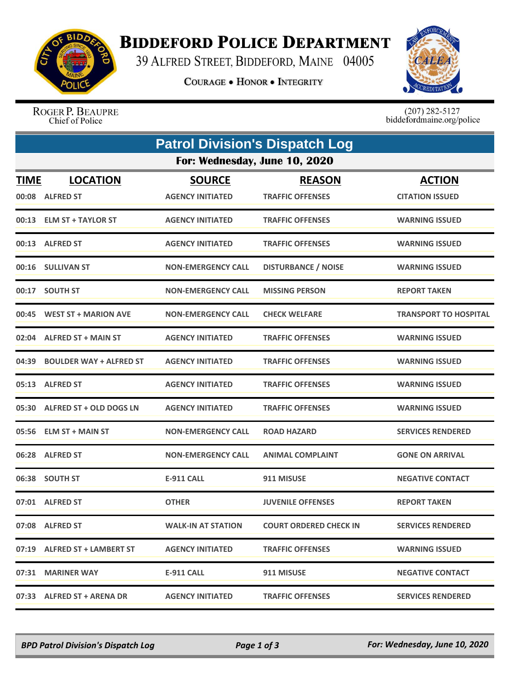

## **BIDDEFORD POLICE DEPARTMENT**

39 ALFRED STREET, BIDDEFORD, MAINE 04005

**COURAGE . HONOR . INTEGRITY** 



ROGER P. BEAUPRE Chief of Police

 $(207)$  282-5127<br>biddefordmaine.org/police

| <b>Patrol Division's Dispatch Log</b> |                                     |                                          |                                          |                                         |  |  |  |
|---------------------------------------|-------------------------------------|------------------------------------------|------------------------------------------|-----------------------------------------|--|--|--|
| For: Wednesday, June 10, 2020         |                                     |                                          |                                          |                                         |  |  |  |
| <b>TIME</b><br>00:08                  | <b>LOCATION</b><br><b>ALFRED ST</b> | <b>SOURCE</b><br><b>AGENCY INITIATED</b> | <b>REASON</b><br><b>TRAFFIC OFFENSES</b> | <b>ACTION</b><br><b>CITATION ISSUED</b> |  |  |  |
|                                       | 00:13 ELM ST + TAYLOR ST            | <b>AGENCY INITIATED</b>                  | <b>TRAFFIC OFFENSES</b>                  | <b>WARNING ISSUED</b>                   |  |  |  |
|                                       | 00:13 ALFRED ST                     | <b>AGENCY INITIATED</b>                  | <b>TRAFFIC OFFENSES</b>                  | <b>WARNING ISSUED</b>                   |  |  |  |
|                                       | 00:16 SULLIVAN ST                   | <b>NON-EMERGENCY CALL</b>                | <b>DISTURBANCE / NOISE</b>               | <b>WARNING ISSUED</b>                   |  |  |  |
|                                       | 00:17 SOUTH ST                      | <b>NON-EMERGENCY CALL</b>                | <b>MISSING PERSON</b>                    | <b>REPORT TAKEN</b>                     |  |  |  |
| 00:45                                 | <b>WEST ST + MARION AVE</b>         | <b>NON-EMERGENCY CALL</b>                | <b>CHECK WELFARE</b>                     | <b>TRANSPORT TO HOSPITAL</b>            |  |  |  |
| 02:04                                 | <b>ALFRED ST + MAIN ST</b>          | <b>AGENCY INITIATED</b>                  | <b>TRAFFIC OFFENSES</b>                  | <b>WARNING ISSUED</b>                   |  |  |  |
| 04:39                                 | <b>BOULDER WAY + ALFRED ST</b>      | <b>AGENCY INITIATED</b>                  | <b>TRAFFIC OFFENSES</b>                  | <b>WARNING ISSUED</b>                   |  |  |  |
| 05:13                                 | <b>ALFRED ST</b>                    | <b>AGENCY INITIATED</b>                  | <b>TRAFFIC OFFENSES</b>                  | <b>WARNING ISSUED</b>                   |  |  |  |
|                                       | 05:30 ALFRED ST + OLD DOGS LN       | <b>AGENCY INITIATED</b>                  | <b>TRAFFIC OFFENSES</b>                  | <b>WARNING ISSUED</b>                   |  |  |  |
|                                       | 05:56 ELM ST + MAIN ST              | <b>NON-EMERGENCY CALL</b>                | <b>ROAD HAZARD</b>                       | <b>SERVICES RENDERED</b>                |  |  |  |
|                                       | 06:28 ALFRED ST                     | <b>NON-EMERGENCY CALL</b>                | <b>ANIMAL COMPLAINT</b>                  | <b>GONE ON ARRIVAL</b>                  |  |  |  |
| 06:38                                 | <b>SOUTH ST</b>                     | <b>E-911 CALL</b>                        | 911 MISUSE                               | <b>NEGATIVE CONTACT</b>                 |  |  |  |
|                                       | 07:01 ALFRED ST                     | <b>OTHER</b>                             | <b>JUVENILE OFFENSES</b>                 | <b>REPORT TAKEN</b>                     |  |  |  |
|                                       | 07:08 ALFRED ST                     | <b>WALK-IN AT STATION</b>                | <b>COURT ORDERED CHECK IN</b>            | <b>SERVICES RENDERED</b>                |  |  |  |
|                                       | 07:19 ALFRED ST + LAMBERT ST        | <b>AGENCY INITIATED</b>                  | <b>TRAFFIC OFFENSES</b>                  | <b>WARNING ISSUED</b>                   |  |  |  |
|                                       | 07:31 MARINER WAY                   | E-911 CALL                               | 911 MISUSE                               | <b>NEGATIVE CONTACT</b>                 |  |  |  |
|                                       | 07:33 ALFRED ST + ARENA DR          | <b>AGENCY INITIATED</b>                  | <b>TRAFFIC OFFENSES</b>                  | <b>SERVICES RENDERED</b>                |  |  |  |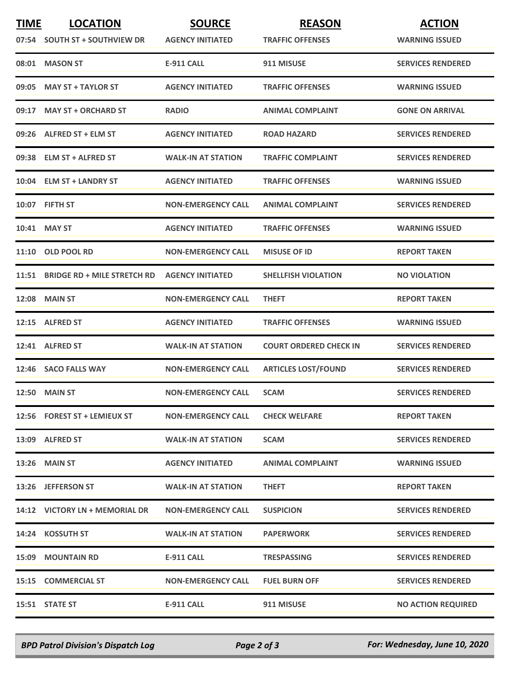| <b>TIME</b> | <b>LOCATION</b>                   | <b>SOURCE</b>             | <b>REASON</b>                 | <b>ACTION</b>             |
|-------------|-----------------------------------|---------------------------|-------------------------------|---------------------------|
|             | 07:54 SOUTH ST + SOUTHVIEW DR     | <b>AGENCY INITIATED</b>   | <b>TRAFFIC OFFENSES</b>       | <b>WARNING ISSUED</b>     |
| 08:01       | <b>MASON ST</b>                   | <b>E-911 CALL</b>         | 911 MISUSE                    | <b>SERVICES RENDERED</b>  |
| 09:05       | <b>MAY ST + TAYLOR ST</b>         | <b>AGENCY INITIATED</b>   | <b>TRAFFIC OFFENSES</b>       | <b>WARNING ISSUED</b>     |
|             | 09:17 MAY ST + ORCHARD ST         | <b>RADIO</b>              | <b>ANIMAL COMPLAINT</b>       | <b>GONE ON ARRIVAL</b>    |
|             | 09:26 ALFRED ST + ELM ST          | <b>AGENCY INITIATED</b>   | <b>ROAD HAZARD</b>            | <b>SERVICES RENDERED</b>  |
|             | 09:38 ELM ST + ALFRED ST          | <b>WALK-IN AT STATION</b> | <b>TRAFFIC COMPLAINT</b>      | <b>SERVICES RENDERED</b>  |
|             | 10:04 ELM ST + LANDRY ST          | <b>AGENCY INITIATED</b>   | <b>TRAFFIC OFFENSES</b>       | <b>WARNING ISSUED</b>     |
|             | 10:07 FIFTH ST                    | <b>NON-EMERGENCY CALL</b> | <b>ANIMAL COMPLAINT</b>       | <b>SERVICES RENDERED</b>  |
|             | 10:41 MAY ST                      | <b>AGENCY INITIATED</b>   | <b>TRAFFIC OFFENSES</b>       | <b>WARNING ISSUED</b>     |
| 11:10       | <b>OLD POOL RD</b>                | <b>NON-EMERGENCY CALL</b> | <b>MISUSE OF ID</b>           | <b>REPORT TAKEN</b>       |
|             | 11:51 BRIDGE RD + MILE STRETCH RD | <b>AGENCY INITIATED</b>   | <b>SHELLFISH VIOLATION</b>    | <b>NO VIOLATION</b>       |
|             | <b>12:08 MAIN ST</b>              | <b>NON-EMERGENCY CALL</b> | <b>THEFT</b>                  | <b>REPORT TAKEN</b>       |
|             | 12:15 ALFRED ST                   | <b>AGENCY INITIATED</b>   | <b>TRAFFIC OFFENSES</b>       | <b>WARNING ISSUED</b>     |
|             | 12:41 ALFRED ST                   | <b>WALK-IN AT STATION</b> | <b>COURT ORDERED CHECK IN</b> | <b>SERVICES RENDERED</b>  |
|             | 12:46 SACO FALLS WAY              | <b>NON-EMERGENCY CALL</b> | <b>ARTICLES LOST/FOUND</b>    | <b>SERVICES RENDERED</b>  |
|             | <b>12:50 MAIN ST</b>              | <b>NON-EMERGENCY CALL</b> | <b>SCAM</b>                   | <b>SERVICES RENDERED</b>  |
|             | 12:56 FOREST ST + LEMIEUX ST      | <b>NON-EMERGENCY CALL</b> | <b>CHECK WELFARE</b>          | <b>REPORT TAKEN</b>       |
|             | 13:09 ALFRED ST                   | <b>WALK-IN AT STATION</b> | <b>SCAM</b>                   | <b>SERVICES RENDERED</b>  |
|             | 13:26 MAIN ST                     | <b>AGENCY INITIATED</b>   | <b>ANIMAL COMPLAINT</b>       | <b>WARNING ISSUED</b>     |
|             | 13:26 JEFFERSON ST                | <b>WALK-IN AT STATION</b> | <b>THEFT</b>                  | <b>REPORT TAKEN</b>       |
|             | 14:12 VICTORY LN + MEMORIAL DR    | <b>NON-EMERGENCY CALL</b> | <b>SUSPICION</b>              | <b>SERVICES RENDERED</b>  |
|             | 14:24 KOSSUTH ST                  | <b>WALK-IN AT STATION</b> | <b>PAPERWORK</b>              | <b>SERVICES RENDERED</b>  |
|             | <b>15:09 MOUNTAIN RD</b>          | E-911 CALL                | <b>TRESPASSING</b>            | <b>SERVICES RENDERED</b>  |
|             | 15:15 COMMERCIAL ST               | <b>NON-EMERGENCY CALL</b> | <b>FUEL BURN OFF</b>          | <b>SERVICES RENDERED</b>  |
|             | 15:51 STATE ST                    | <b>E-911 CALL</b>         | 911 MISUSE                    | <b>NO ACTION REQUIRED</b> |

*BPD Patrol Division's Dispatch Log Page 2 of 3 For: Wednesday, June 10, 2020*